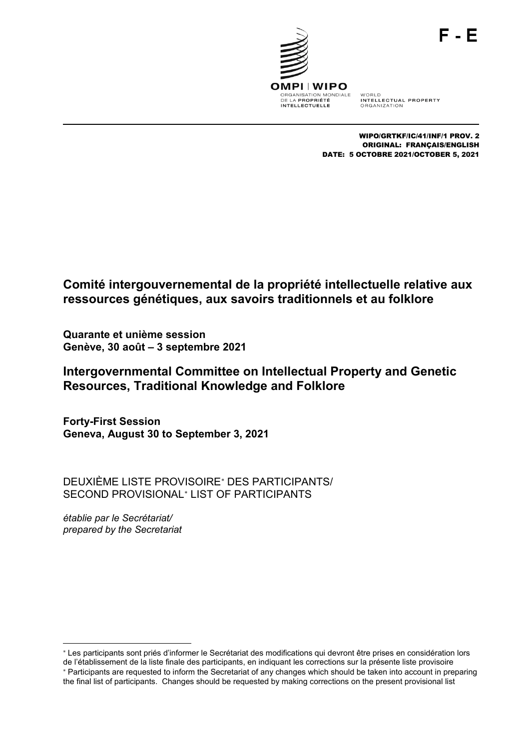

WORLD<br>INTELLECTUAL PROPERTY **ORGANIZATION** 

WIPO/GRTKF/IC/41/INF/1 PROV. 2 ORIGINAL: FRANÇAIS/ENGLISH DATE: 5 OCTOBRE 2021/OCTOBER 5, 2021

# **Comité intergouvernemental de la propriété intellectuelle relative aux ressources génétiques, aux savoirs traditionnels et au folklore**

**Quarante et unième session Genève, 30 août – 3 septembre 2021**

**Intergovernmental Committee on Intellectual Property and Genetic Resources, Traditional Knowledge and Folklore**

**Forty-First Session Geneva, August 30 to September 3, 2021**

DEUXIÈME LISTE PROVISOIRE[∗](#page-0-0) DES PARTICIPANTS/ SECOND PROVISIONAL[∗](#page-0-1) LIST OF PARTICIPANTS

*établie par le Secrétariat/ prepared by the Secretariat*

<span id="page-0-1"></span><span id="page-0-0"></span><sup>-</sup><sup>∗</sup> Les participants sont priés d'informer le Secrétariat des modifications qui devront être prises en considération lors de l'établissement de la liste finale des participants, en indiquant les corrections sur la présente liste provisoire <sup>∗</sup> Participants are requested to inform the Secretariat of any changes which should be taken into account in preparing the final list of participants. Changes should be requested by making corrections on the present provisional list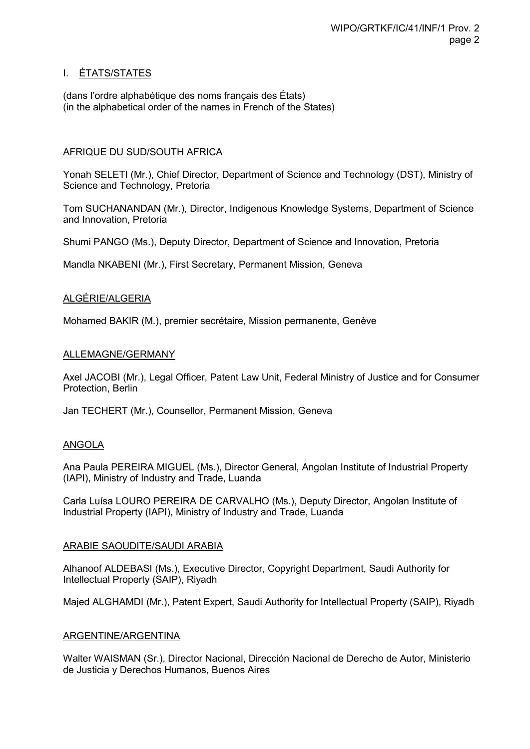## I. ÉTATS/STATES

(dans l'ordre alphabétique des noms français des États) (in the alphabetical order of the names in French of the States)

## AFRIQUE DU SUD/SOUTH AFRICA

Yonah SELETI (Mr.), Chief Director, Department of Science and Technology (DST), Ministry of Science and Technology, Pretoria

Tom SUCHANANDAN (Mr.), Director, Indigenous Knowledge Systems, Department of Science and Innovation, Pretoria

Shumi PANGO (Ms.), Deputy Director, Department of Science and Innovation, Pretoria

Mandla NKABENI (Mr.), First Secretary, Permanent Mission, Geneva

## ALGÉRIE/ALGERIA

Mohamed BAKIR (M.), premier secrétaire, Mission permanente, Genève

## ALLEMAGNE/GERMANY

Axel JACOBI (Mr.), Legal Officer, Patent Law Unit, Federal Ministry of Justice and for Consumer Protection, Berlin

Jan TECHERT (Mr.), Counsellor, Permanent Mission, Geneva

## ANGOLA

Ana Paula PEREIRA MIGUEL (Ms.), Director General, Angolan Institute of Industrial Property (IAPI), Ministry of Industry and Trade, Luanda

Carla Luísa LOURO PEREIRA DE CARVALHO (Ms.), Deputy Director, Angolan Institute of Industrial Property (IAPI), Ministry of Industry and Trade, Luanda

## ARABIE SAOUDITE/SAUDI ARABIA

Alhanoof ALDEBASI (Ms.), Executive Director, Copyright Department, Saudi Authority for Intellectual Property (SAIP), Riyadh

Majed ALGHAMDI (Mr.), Patent Expert, Saudi Authority for Intellectual Property (SAIP), Riyadh

## ARGENTINE/ARGENTINA

Walter WAISMAN (Sr.), Director Nacional, Dirección Nacional de Derecho de Autor, Ministerio de Justicia y Derechos Humanos, Buenos Aires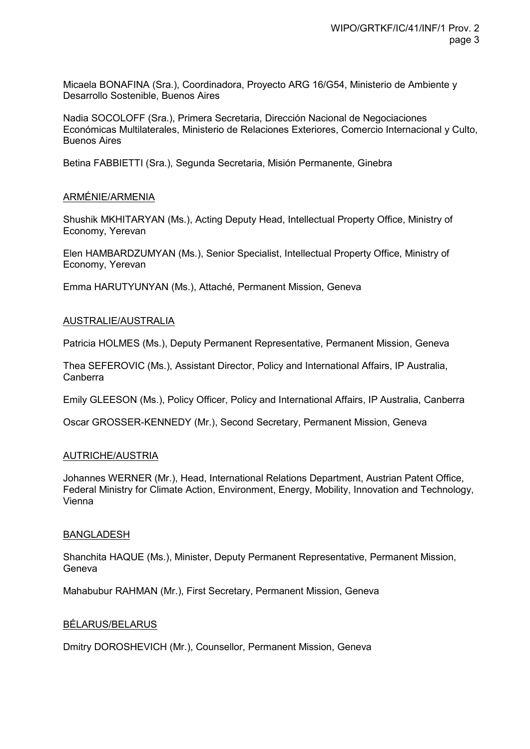Micaela BONAFINA (Sra.), Coordinadora, Proyecto ARG 16/G54, Ministerio de Ambiente y Desarrollo Sostenible, Buenos Aires

Nadia SOCOLOFF (Sra.), Primera Secretaria, Dirección Nacional de Negociaciones Económicas Multilaterales, Ministerio de Relaciones Exteriores, Comercio Internacional y Culto, Buenos Aires

Betina FABBIETTI (Sra.), Segunda Secretaria, Misión Permanente, Ginebra

#### ARMÉNIE/ARMENIA

Shushik MKHITARYAN (Ms.), Acting Deputy Head, Intellectual Property Office, Ministry of Economy, Yerevan

Elen HAMBARDZUMYAN (Ms.), Senior Specialist, Intellectual Property Office, Ministry of Economy, Yerevan

Emma HARUTYUNYAN (Ms.), Attaché, Permanent Mission, Geneva

#### AUSTRALIE/AUSTRALIA

Patricia HOLMES (Ms.), Deputy Permanent Representative, Permanent Mission, Geneva

Thea SEFEROVIC (Ms.), Assistant Director, Policy and International Affairs, IP Australia, Canberra

Emily GLEESON (Ms.), Policy Officer, Policy and International Affairs, IP Australia, Canberra

Oscar GROSSER-KENNEDY (Mr.), Second Secretary, Permanent Mission, Geneva

#### AUTRICHE/AUSTRIA

Johannes WERNER (Mr.), Head, International Relations Department, Austrian Patent Office, Federal Ministry for Climate Action, Environment, Energy, Mobility, Innovation and Technology, Vienna

#### BANGLADESH

Shanchita HAQUE (Ms.), Minister, Deputy Permanent Representative, Permanent Mission, Geneva

Mahabubur RAHMAN (Mr.), First Secretary, Permanent Mission, Geneva

#### BÉLARUS/BELARUS

Dmitry DOROSHEVICH (Mr.), Counsellor, Permanent Mission, Geneva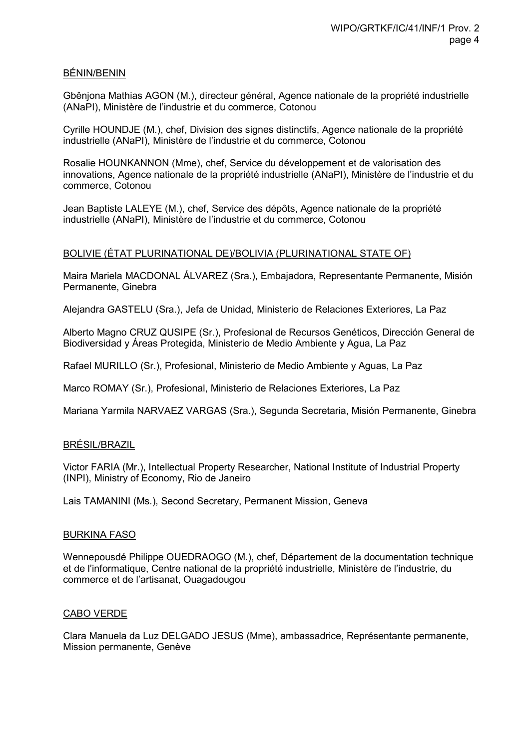#### BÉNIN/BENIN

Gbênjona Mathias AGON (M.), directeur général, Agence nationale de la propriété industrielle (ANaPI), Ministère de l'industrie et du commerce, Cotonou

Cyrille HOUNDJE (M.), chef, Division des signes distinctifs, Agence nationale de la propriété industrielle (ANaPI), Ministère de l'industrie et du commerce, Cotonou

Rosalie HOUNKANNON (Mme), chef, Service du développement et de valorisation des innovations, Agence nationale de la propriété industrielle (ANaPI), Ministère de l'industrie et du commerce, Cotonou

Jean Baptiste LALEYE (M.), chef, Service des dépôts, Agence nationale de la propriété industrielle (ANaPI), Ministère de l'industrie et du commerce, Cotonou

## BOLIVIE (ÉTAT PLURINATIONAL DE)/BOLIVIA (PLURINATIONAL STATE OF)

Maira Mariela MACDONAL ÁLVAREZ (Sra.), Embajadora, Representante Permanente, Misión Permanente, Ginebra

Alejandra GASTELU (Sra.), Jefa de Unidad, Ministerio de Relaciones Exteriores, La Paz

Alberto Magno CRUZ QUSIPE (Sr.), Profesional de Recursos Genéticos, Dirección General de Biodiversidad y Áreas Protegida, Ministerio de Medio Ambiente y Agua, La Paz

Rafael MURILLO (Sr.), Profesional, Ministerio de Medio Ambiente y Aguas, La Paz

Marco ROMAY (Sr.), Profesional, Ministerio de Relaciones Exteriores, La Paz

Mariana Yarmila NARVAEZ VARGAS (Sra.), Segunda Secretaria, Misión Permanente, Ginebra

## BRÉSIL/BRAZIL

Victor FARIA (Mr.), Intellectual Property Researcher, National Institute of Industrial Property (INPI), Ministry of Economy, Rio de Janeiro

Lais TAMANINI (Ms.), Second Secretary, Permanent Mission, Geneva

#### BURKINA FASO

Wennepousdé Philippe OUEDRAOGO (M.), chef, Département de la documentation technique et de l'informatique, Centre national de la propriété industrielle, Ministère de l'industrie, du commerce et de l'artisanat, Ouagadougou

#### CABO VERDE

Clara Manuela da Luz DELGADO JESUS (Mme), ambassadrice, Représentante permanente, Mission permanente, Genève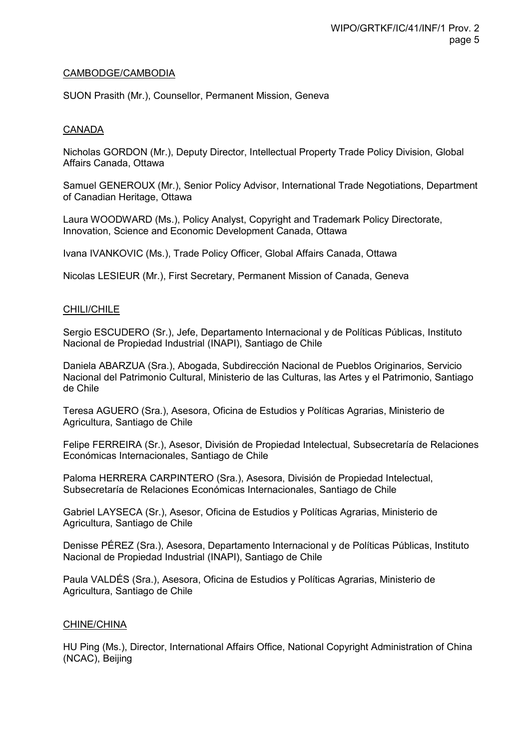#### CAMBODGE/CAMBODIA

SUON Prasith (Mr.), Counsellor, Permanent Mission, Geneva

## CANADA

Nicholas GORDON (Mr.), Deputy Director, Intellectual Property Trade Policy Division, Global Affairs Canada, Ottawa

Samuel GENEROUX (Mr.), Senior Policy Advisor, International Trade Negotiations, Department of Canadian Heritage, Ottawa

Laura WOODWARD (Ms.), Policy Analyst, Copyright and Trademark Policy Directorate, Innovation, Science and Economic Development Canada, Ottawa

Ivana IVANKOVIC (Ms.), Trade Policy Officer, Global Affairs Canada, Ottawa

Nicolas LESIEUR (Mr.), First Secretary, Permanent Mission of Canada, Geneva

#### CHILI/CHILE

Sergio ESCUDERO (Sr.), Jefe, Departamento Internacional y de Políticas Públicas, Instituto Nacional de Propiedad Industrial (INAPI), Santiago de Chile

Daniela ABARZUA (Sra.), Abogada, Subdirección Nacional de Pueblos Originarios, Servicio Nacional del Patrimonio Cultural, Ministerio de las Culturas, las Artes y el Patrimonio, Santiago de Chile

Teresa AGUERO (Sra.), Asesora, Oficina de Estudios y Políticas Agrarias, Ministerio de Agricultura, Santiago de Chile

Felipe FERREIRA (Sr.), Asesor, División de Propiedad Intelectual, Subsecretaría de Relaciones Económicas Internacionales, Santiago de Chile

Paloma HERRERA CARPINTERO (Sra.), Asesora, División de Propiedad Intelectual, Subsecretaría de Relaciones Económicas Internacionales, Santiago de Chile

Gabriel LAYSECA (Sr.), Asesor, Oficina de Estudios y Políticas Agrarias, Ministerio de Agricultura, Santiago de Chile

Denisse PÉREZ (Sra.), Asesora, Departamento Internacional y de Políticas Públicas, Instituto Nacional de Propiedad Industrial (INAPI), Santiago de Chile

Paula VALDÉS (Sra.), Asesora, Oficina de Estudios y Políticas Agrarias, Ministerio de Agricultura, Santiago de Chile

#### CHINE/CHINA

HU Ping (Ms.), Director, International Affairs Office, National Copyright Administration of China (NCAC), Beijing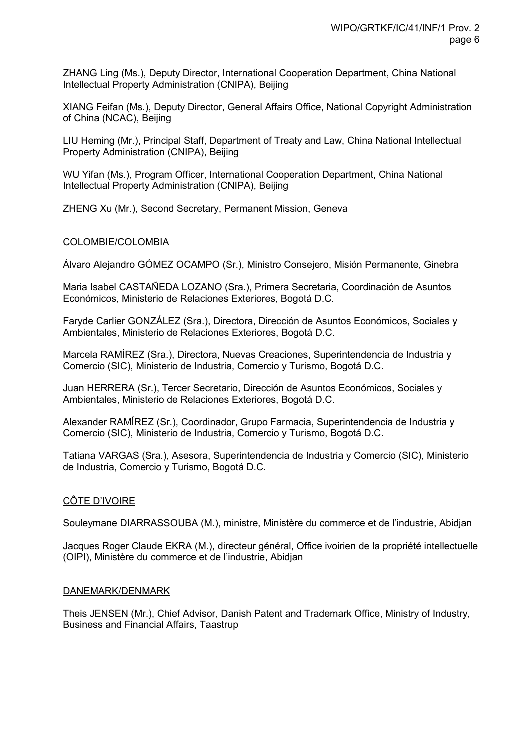ZHANG Ling (Ms.), Deputy Director, International Cooperation Department, China National Intellectual Property Administration (CNIPA), Beijing

XIANG Feifan (Ms.), Deputy Director, General Affairs Office, National Copyright Administration of China (NCAC), Beijing

LIU Heming (Mr.), Principal Staff, Department of Treaty and Law, China National Intellectual Property Administration (CNIPA), Beijing

WU Yifan (Ms.), Program Officer, International Cooperation Department, China National Intellectual Property Administration (CNIPA), Beijing

ZHENG Xu (Mr.), Second Secretary, Permanent Mission, Geneva

#### COLOMBIE/COLOMBIA

Álvaro Alejandro GÓMEZ OCAMPO (Sr.), Ministro Consejero, Misión Permanente, Ginebra

Maria Isabel CASTAÑEDA LOZANO (Sra.), Primera Secretaria, Coordinación de Asuntos Económicos, Ministerio de Relaciones Exteriores, Bogotá D.C.

Faryde Carlier GONZÁLEZ (Sra.), Directora, Dirección de Asuntos Económicos, Sociales y Ambientales, Ministerio de Relaciones Exteriores, Bogotá D.C.

Marcela RAMÍREZ (Sra.), Directora, Nuevas Creaciones, Superintendencia de Industria y Comercio (SIC), Ministerio de Industria, Comercio y Turismo, Bogotá D.C.

Juan HERRERA (Sr.), Tercer Secretario, Dirección de Asuntos Económicos, Sociales y Ambientales, Ministerio de Relaciones Exteriores, Bogotá D.C.

Alexander RAMÍREZ (Sr.), Coordinador, Grupo Farmacia, Superintendencia de Industria y Comercio (SIC), Ministerio de Industria, Comercio y Turismo, Bogotá D.C.

Tatiana VARGAS (Sra.), Asesora, Superintendencia de Industria y Comercio (SIC), Ministerio de Industria, Comercio y Turismo, Bogotá D.C.

## CÔTE D'IVOIRE

Souleymane DIARRASSOUBA (M.), ministre, Ministère du commerce et de l'industrie, Abidjan

Jacques Roger Claude EKRA (M.), directeur général, Office ivoirien de la propriété intellectuelle (OIPI), Ministère du commerce et de l'industrie, Abidjan

#### DANEMARK/DENMARK

Theis JENSEN (Mr.), Chief Advisor, Danish Patent and Trademark Office, Ministry of Industry, Business and Financial Affairs, Taastrup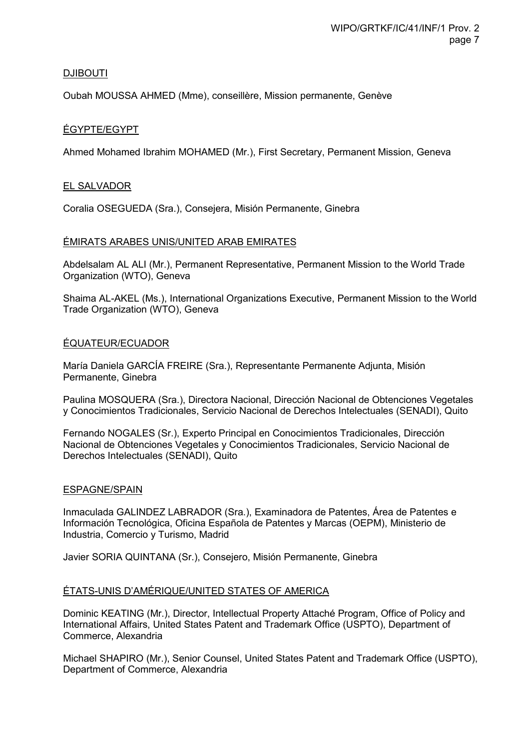## DJIBOUTI

Oubah MOUSSA AHMED (Mme), conseillère, Mission permanente, Genève

## ÉGYPTE/EGYPT

Ahmed Mohamed Ibrahim MOHAMED (Mr.), First Secretary, Permanent Mission, Geneva

## EL SALVADOR

Coralia OSEGUEDA (Sra.), Consejera, Misión Permanente, Ginebra

## ÉMIRATS ARABES UNIS/UNITED ARAB EMIRATES

Abdelsalam AL ALI (Mr.), Permanent Representative, Permanent Mission to the World Trade Organization (WTO), Geneva

Shaima AL-AKEL (Ms.), International Organizations Executive, Permanent Mission to the World Trade Organization (WTO), Geneva

## ÉQUATEUR/ECUADOR

María Daniela GARCÍA FREIRE (Sra.), Representante Permanente Adjunta, Misión Permanente, Ginebra

Paulina MOSQUERA (Sra.), Directora Nacional, Dirección Nacional de Obtenciones Vegetales y Conocimientos Tradicionales, Servicio Nacional de Derechos Intelectuales (SENADI), Quito

Fernando NOGALES (Sr.), Experto Principal en Conocimientos Tradicionales, Dirección Nacional de Obtenciones Vegetales y Conocimientos Tradicionales, Servicio Nacional de Derechos Intelectuales (SENADI), Quito

## ESPAGNE/SPAIN

Inmaculada GALINDEZ LABRADOR (Sra.), Examinadora de Patentes, Área de Patentes e Información Tecnológica, Oficina Española de Patentes y Marcas (OEPM), Ministerio de Industria, Comercio y Turismo, Madrid

Javier SORIA QUINTANA (Sr.), Consejero, Misión Permanente, Ginebra

## ÉTATS-UNIS D'AMÉRIQUE/UNITED STATES OF AMERICA

Dominic KEATING (Mr.), Director, Intellectual Property Attaché Program, Office of Policy and International Affairs, United States Patent and Trademark Office (USPTO), Department of Commerce, Alexandria

Michael SHAPIRO (Mr.), Senior Counsel, United States Patent and Trademark Office (USPTO), Department of Commerce, Alexandria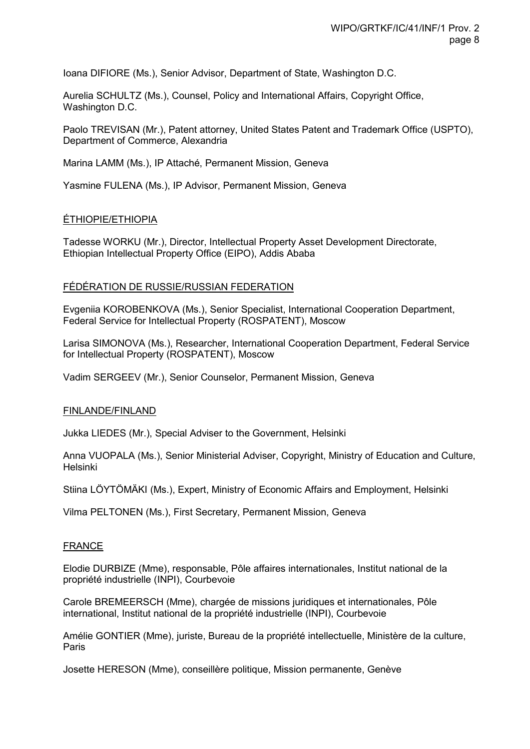Ioana DIFIORE (Ms.), Senior Advisor, Department of State, Washington D.C.

Aurelia SCHULTZ (Ms.), Counsel, Policy and International Affairs, Copyright Office, Washington D.C.

Paolo TREVISAN (Mr.), Patent attorney, United States Patent and Trademark Office (USPTO), Department of Commerce, Alexandria

Marina LAMM (Ms.), IP Attaché, Permanent Mission, Geneva

Yasmine FULENA (Ms.), IP Advisor, Permanent Mission, Geneva

#### ÉTHIOPIE/ETHIOPIA

Tadesse WORKU (Mr.), Director, Intellectual Property Asset Development Directorate, Ethiopian Intellectual Property Office (EIPO), Addis Ababa

#### FÉDÉRATION DE RUSSIE/RUSSIAN FEDERATION

Evgeniia KOROBENKOVA (Ms.), Senior Specialist, International Cooperation Department, Federal Service for Intellectual Property (ROSPATENT), Moscow

Larisa SIMONOVA (Ms.), Researcher, International Cooperation Department, Federal Service for Intellectual Property (ROSPATENT), Moscow

Vadim SERGEEV (Mr.), Senior Counselor, Permanent Mission, Geneva

#### FINLANDE/FINLAND

Jukka LIEDES (Mr.), Special Adviser to the Government, Helsinki

Anna VUOPALA (Ms.), Senior Ministerial Adviser, Copyright, Ministry of Education and Culture, Helsinki

Stiina LÖYTÖMÄKI (Ms.), Expert, Ministry of Economic Affairs and Employment, Helsinki

Vilma PELTONEN (Ms.), First Secretary, Permanent Mission, Geneva

#### FRANCE

Elodie DURBIZE (Mme), responsable, Pôle affaires internationales, Institut national de la propriété industrielle (INPI), Courbevoie

Carole BREMEERSCH (Mme), chargée de missions juridiques et internationales, Pôle international, Institut national de la propriété industrielle (INPI), Courbevoie

Amélie GONTIER (Mme), juriste, Bureau de la propriété intellectuelle, Ministère de la culture, Paris

Josette HERESON (Mme), conseillère politique, Mission permanente, Genève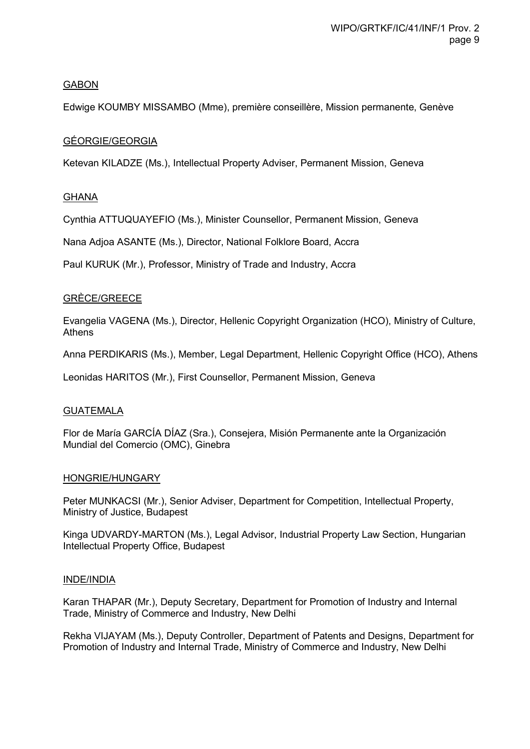## GABON

Edwige KOUMBY MISSAMBO (Mme), première conseillère, Mission permanente, Genève

## GÉORGIE/GEORGIA

Ketevan KILADZE (Ms.), Intellectual Property Adviser, Permanent Mission, Geneva

## GHANA

Cynthia ATTUQUAYEFIO (Ms.), Minister Counsellor, Permanent Mission, Geneva

Nana Adjoa ASANTE (Ms.), Director, National Folklore Board, Accra

Paul KURUK (Mr.), Professor, Ministry of Trade and Industry, Accra

## GRÈCE/GREECE

Evangelia VAGENA (Ms.), Director, Hellenic Copyright Organization (HCO), Ministry of Culture, Athens

Anna PERDIKARIS (Ms.), Member, Legal Department, Hellenic Copyright Office (HCO), Athens

Leonidas HARITOS (Mr.), First Counsellor, Permanent Mission, Geneva

## GUATEMALA

Flor de María GARCÍA DÍAZ (Sra.), Consejera, Misión Permanente ante la Organización Mundial del Comercio (OMC), Ginebra

## HONGRIE/HUNGARY

Peter MUNKACSI (Mr.), Senior Adviser, Department for Competition, Intellectual Property, Ministry of Justice, Budapest

Kinga UDVARDY-MARTON (Ms.), Legal Advisor, Industrial Property Law Section, Hungarian Intellectual Property Office, Budapest

## INDE/INDIA

Karan THAPAR (Mr.), Deputy Secretary, Department for Promotion of Industry and Internal Trade, Ministry of Commerce and Industry, New Delhi

Rekha VIJAYAM (Ms.), Deputy Controller, Department of Patents and Designs, Department for Promotion of Industry and Internal Trade, Ministry of Commerce and Industry, New Delhi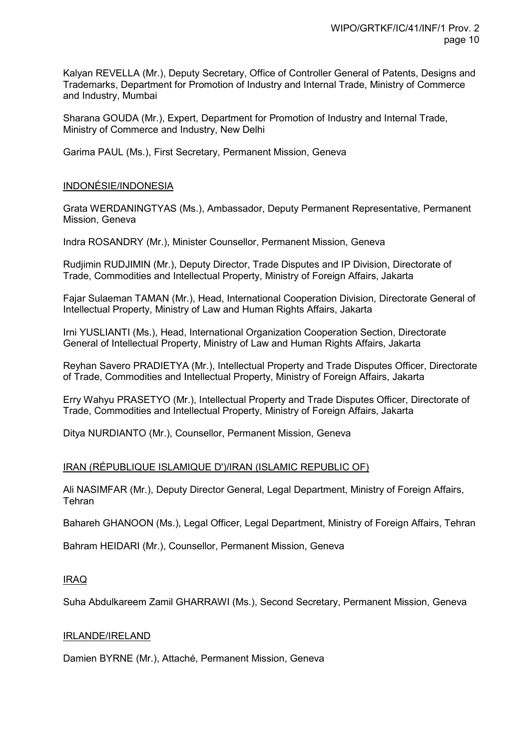Kalyan REVELLA (Mr.), Deputy Secretary, Office of Controller General of Patents, Designs and Trademarks, Department for Promotion of Industry and Internal Trade, Ministry of Commerce and Industry, Mumbai

Sharana GOUDA (Mr.), Expert, Department for Promotion of Industry and Internal Trade, Ministry of Commerce and Industry, New Delhi

Garima PAUL (Ms.), First Secretary, Permanent Mission, Geneva

## INDONÉSIE/INDONESIA

Grata WERDANINGTYAS (Ms.), Ambassador, Deputy Permanent Representative, Permanent Mission, Geneva

Indra ROSANDRY (Mr.), Minister Counsellor, Permanent Mission, Geneva

Rudjimin RUDJIMIN (Mr.), Deputy Director, Trade Disputes and IP Division, Directorate of Trade, Commodities and Intellectual Property, Ministry of Foreign Affairs, Jakarta

Fajar Sulaeman TAMAN (Mr.), Head, International Cooperation Division, Directorate General of Intellectual Property, Ministry of Law and Human Rights Affairs, Jakarta

Irni YUSLIANTI (Ms.), Head, International Organization Cooperation Section, Directorate General of Intellectual Property, Ministry of Law and Human Rights Affairs, Jakarta

Reyhan Savero PRADIETYA (Mr.), Intellectual Property and Trade Disputes Officer, Directorate of Trade, Commodities and Intellectual Property, Ministry of Foreign Affairs, Jakarta

Erry Wahyu PRASETYO (Mr.), Intellectual Property and Trade Disputes Officer, Directorate of Trade, Commodities and Intellectual Property, Ministry of Foreign Affairs, Jakarta

Ditya NURDIANTO (Mr.), Counsellor, Permanent Mission, Geneva

## IRAN (RÉPUBLIQUE ISLAMIQUE D')/IRAN (ISLAMIC REPUBLIC OF)

Ali NASIMFAR (Mr.), Deputy Director General, Legal Department, Ministry of Foreign Affairs, **Tehran** 

Bahareh GHANOON (Ms.), Legal Officer, Legal Department, Ministry of Foreign Affairs, Tehran

Bahram HEIDARI (Mr.), Counsellor, Permanent Mission, Geneva

## IRAQ

Suha Abdulkareem Zamil GHARRAWI (Ms.), Second Secretary, Permanent Mission, Geneva

#### IRLANDE/IRELAND

Damien BYRNE (Mr.), Attaché, Permanent Mission, Geneva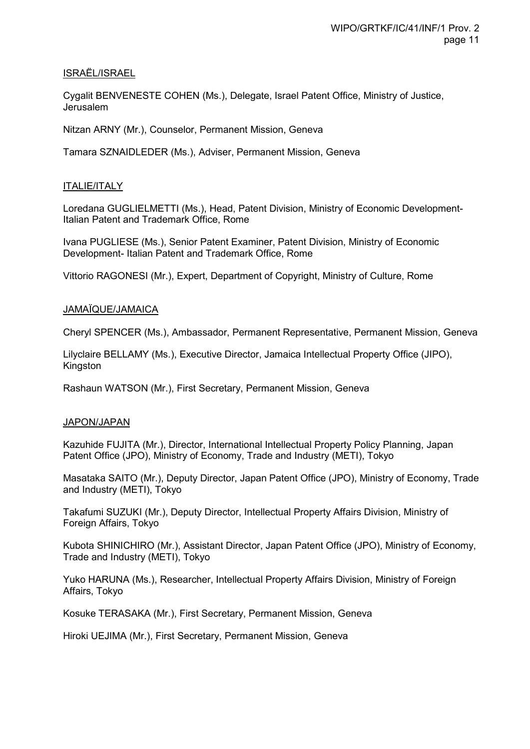## ISRAËL/ISRAEL

Cygalit BENVENESTE COHEN (Ms.), Delegate, Israel Patent Office, Ministry of Justice, Jerusalem

Nitzan ARNY (Mr.), Counselor, Permanent Mission, Geneva

Tamara SZNAIDLEDER (Ms.), Adviser, Permanent Mission, Geneva

## ITALIE/ITALY

Loredana GUGLIELMETTI (Ms.), Head, Patent Division, Ministry of Economic Development-Italian Patent and Trademark Office, Rome

Ivana PUGLIESE (Ms.), Senior Patent Examiner, Patent Division, Ministry of Economic Development- Italian Patent and Trademark Office, Rome

Vittorio RAGONESI (Mr.), Expert, Department of Copyright, Ministry of Culture, Rome

## JAMAÏQUE/JAMAICA

Cheryl SPENCER (Ms.), Ambassador, Permanent Representative, Permanent Mission, Geneva

Lilyclaire BELLAMY (Ms.), Executive Director, Jamaica Intellectual Property Office (JIPO), Kingston

Rashaun WATSON (Mr.), First Secretary, Permanent Mission, Geneva

## JAPON/JAPAN

Kazuhide FUJITA (Mr.), Director, International Intellectual Property Policy Planning, Japan Patent Office (JPO), Ministry of Economy, Trade and Industry (METI), Tokyo

Masataka SAITO (Mr.), Deputy Director, Japan Patent Office (JPO), Ministry of Economy, Trade and Industry (METI), Tokyo

Takafumi SUZUKI (Mr.), Deputy Director, Intellectual Property Affairs Division, Ministry of Foreign Affairs, Tokyo

Kubota SHINICHIRO (Mr.), Assistant Director, Japan Patent Office (JPO), Ministry of Economy, Trade and Industry (METI), Tokyo

Yuko HARUNA (Ms.), Researcher, Intellectual Property Affairs Division, Ministry of Foreign Affairs, Tokyo

Kosuke TERASAKA (Mr.), First Secretary, Permanent Mission, Geneva

Hiroki UEJIMA (Mr.), First Secretary, Permanent Mission, Geneva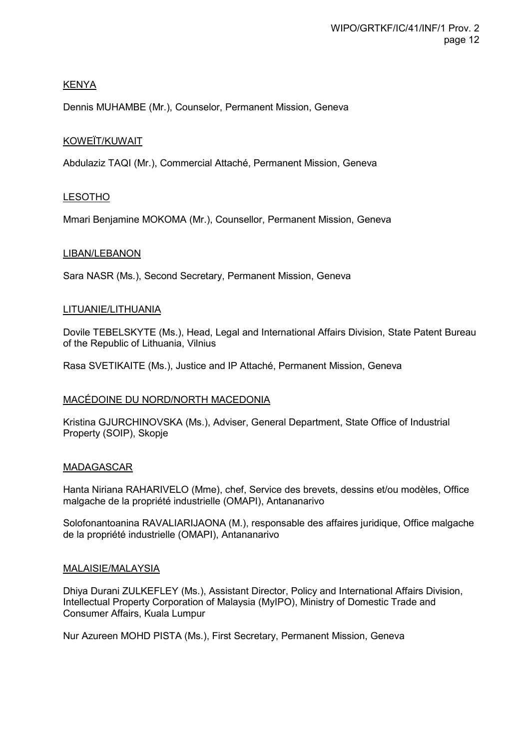## KENYA

Dennis MUHAMBE (Mr.), Counselor, Permanent Mission, Geneva

## KOWEÏT/KUWAIT

Abdulaziz TAQI (Mr.), Commercial Attaché, Permanent Mission, Geneva

## LESOTHO

Mmari Benjamine MOKOMA (Mr.), Counsellor, Permanent Mission, Geneva

#### LIBAN/LEBANON

Sara NASR (Ms.), Second Secretary, Permanent Mission, Geneva

#### LITUANIE/LITHUANIA

Dovile TEBELSKYTE (Ms.), Head, Legal and International Affairs Division, State Patent Bureau of the Republic of Lithuania, Vilnius

Rasa SVETIKAITE (Ms.), Justice and IP Attaché, Permanent Mission, Geneva

## MACÉDOINE DU NORD/NORTH MACEDONIA

Kristina GJURCHINOVSKA (Ms.), Adviser, General Department, State Office of Industrial Property (SOIP), Skopje

#### MADAGASCAR

Hanta Niriana RAHARIVELO (Mme), chef, Service des brevets, dessins et/ou modèles, Office malgache de la propriété industrielle (OMAPI), Antananarivo

Solofonantoanina RAVALIARIJAONA (M.), responsable des affaires juridique, Office malgache de la propriété industrielle (OMAPI), Antananarivo

#### MALAISIE/MALAYSIA

Dhiya Durani ZULKEFLEY (Ms.), Assistant Director, Policy and International Affairs Division, Intellectual Property Corporation of Malaysia (MyIPO), Ministry of Domestic Trade and Consumer Affairs, Kuala Lumpur

Nur Azureen MOHD PISTA (Ms.), First Secretary, Permanent Mission, Geneva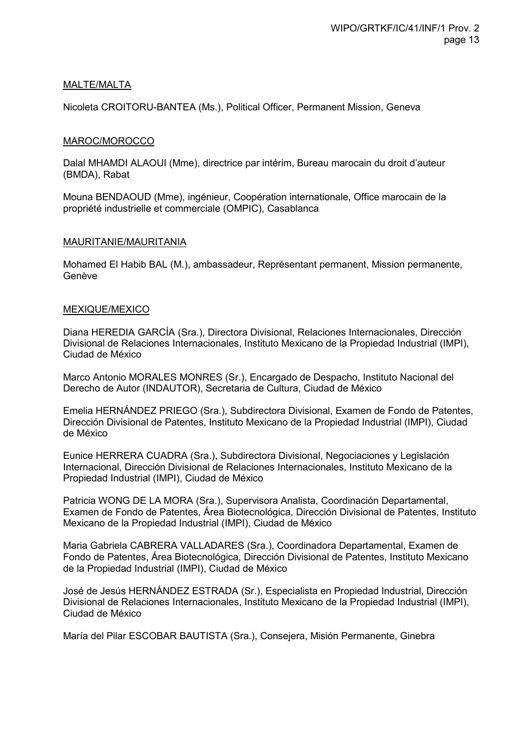## MALTE/MALTA

Nicoleta CROITORU-BANTEA (Ms.), Political Officer, Permanent Mission, Geneva

#### MAROC/MOROCCO

Dalal MHAMDI ALAOUI (Mme), directrice par intérim, Bureau marocain du droit d'auteur (BMDA), Rabat

Mouna BENDAOUD (Mme), ingénieur, Coopération internationale, Office marocain de la propriété industrielle et commerciale (OMPIC), Casablanca

#### MAURITANIE/MAURITANIA

Mohamed El Habib BAL (M.), ambassadeur, Représentant permanent, Mission permanente, Genève

#### MEXIQUE/MEXICO

Diana HEREDIA GARCÍA (Sra.), Directora Divisional, Relaciones Internacionales, Dirección Divisional de Relaciones Internacionales, Instituto Mexicano de la Propiedad Industrial (IMPI), Ciudad de México

Marco Antonio MORALES MONRES (Sr.), Encargado de Despacho, Instituto Nacional del Derecho de Autor (INDAUTOR), Secretaria de Cultura, Ciudad de México

Emelia HERNÁNDEZ PRIEGO (Sra.), Subdirectora Divisional, Examen de Fondo de Patentes, Dirección Divisional de Patentes, Instituto Mexicano de la Propiedad Industrial (IMPI), Ciudad de México

Eunice HERRERA CUADRA (Sra.), Subdirectora Divisional, Negociaciones y Legislación Internacional, Dirección Divisional de Relaciones Internacionales, Instituto Mexicano de la Propiedad Industrial (IMPI), Ciudad de México

Patricia WONG DE LA MORA (Sra.), Supervisora Analista, Coordinación Departamental, Examen de Fondo de Patentes, Área Biotecnológica, Dirección Divisional de Patentes, Instituto Mexicano de la Propiedad Industrial (IMPI), Ciudad de México

Maria Gabriela CABRERA VALLADARES (Sra.), Coordinadora Departamental, Examen de Fondo de Patentes, Área Biotecnológica, Dirección Divisional de Patentes, Instituto Mexicano de la Propiedad Industrial (IMPI), Ciudad de México

José de Jesús HERNÁNDEZ ESTRADA (Sr.), Especialista en Propiedad Industrial, Dirección Divisional de Relaciones Internacionales, Instituto Mexicano de la Propiedad Industrial (IMPI), Ciudad de México

María del Pilar ESCOBAR BAUTISTA (Sra.), Consejera, Misión Permanente, Ginebra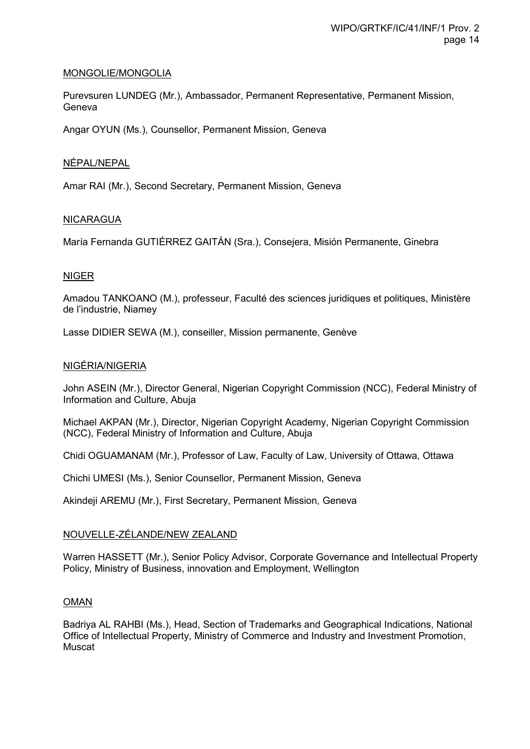#### MONGOLIE/MONGOLIA

Purevsuren LUNDEG (Mr.), Ambassador, Permanent Representative, Permanent Mission, Geneva

Angar OYUN (Ms.), Counsellor, Permanent Mission, Geneva

## NÉPAL/NEPAL

Amar RAI (Mr.), Second Secretary, Permanent Mission, Geneva

#### NICARAGUA

María Fernanda GUTIÉRREZ GAITÁN (Sra.), Consejera, Misión Permanente, Ginebra

#### NIGER

Amadou TANKOANO (M.), professeur, Faculté des sciences juridiques et politiques, Ministère de l'industrie, Niamey

Lasse DIDIER SEWA (M.), conseiller, Mission permanente, Genève

## NIGÉRIA/NIGERIA

John ASEIN (Mr.), Director General, Nigerian Copyright Commission (NCC), Federal Ministry of Information and Culture, Abuja

Michael AKPAN (Mr.), Director, Nigerian Copyright Academy, Nigerian Copyright Commission (NCC), Federal Ministry of Information and Culture, Abuja

Chidi OGUAMANAM (Mr.), Professor of Law, Faculty of Law, University of Ottawa, Ottawa

Chichi UMESI (Ms.), Senior Counsellor, Permanent Mission, Geneva

Akindeji AREMU (Mr.), First Secretary, Permanent Mission, Geneva

## NOUVELLE-ZÉLANDE/NEW ZEALAND

Warren HASSETT (Mr.), Senior Policy Advisor, Corporate Governance and Intellectual Property Policy, Ministry of Business, innovation and Employment, Wellington

#### OMAN

Badriya AL RAHBI (Ms.), Head, Section of Trademarks and Geographical Indications, National Office of Intellectual Property, Ministry of Commerce and Industry and Investment Promotion, Muscat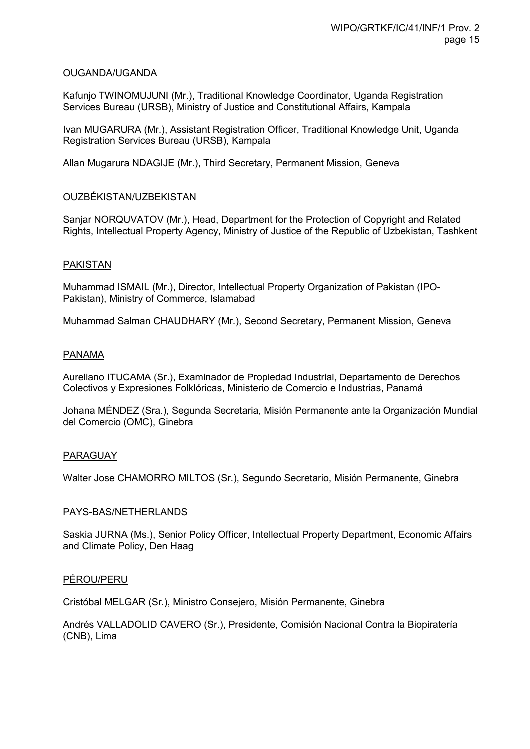#### OUGANDA/UGANDA

Kafunjo TWINOMUJUNI (Mr.), Traditional Knowledge Coordinator, Uganda Registration Services Bureau (URSB), Ministry of Justice and Constitutional Affairs, Kampala

Ivan MUGARURA (Mr.), Assistant Registration Officer, Traditional Knowledge Unit, Uganda Registration Services Bureau (URSB), Kampala

Allan Mugarura NDAGIJE (Mr.), Third Secretary, Permanent Mission, Geneva

## OUZBÉKISTAN/UZBEKISTAN

Sanjar NORQUVATOV (Mr.), Head, Department for the Protection of Copyright and Related Rights, Intellectual Property Agency, Ministry of Justice of the Republic of Uzbekistan, Tashkent

#### PAKISTAN

Muhammad ISMAIL (Mr.), Director, Intellectual Property Organization of Pakistan (IPO-Pakistan), Ministry of Commerce, Islamabad

Muhammad Salman CHAUDHARY (Mr.), Second Secretary, Permanent Mission, Geneva

#### **PANAMA**

Aureliano ITUCAMA (Sr.), Examinador de Propiedad Industrial, Departamento de Derechos Colectivos y Expresiones Folklóricas, Ministerio de Comercio e Industrias, Panamá

Johana MÉNDEZ (Sra.), Segunda Secretaria, Misión Permanente ante la Organización Mundial del Comercio (OMC), Ginebra

#### PARAGUAY

Walter Jose CHAMORRO MILTOS (Sr.), Segundo Secretario, Misión Permanente, Ginebra

#### PAYS-BAS/NETHERLANDS

Saskia JURNA (Ms.), Senior Policy Officer, Intellectual Property Department, Economic Affairs and Climate Policy, Den Haag

#### PÉROU/PERU

Cristóbal MELGAR (Sr.), Ministro Consejero, Misión Permanente, Ginebra

Andrés VALLADOLID CAVERO (Sr.), Presidente, Comisión Nacional Contra la Biopiratería (CNB), Lima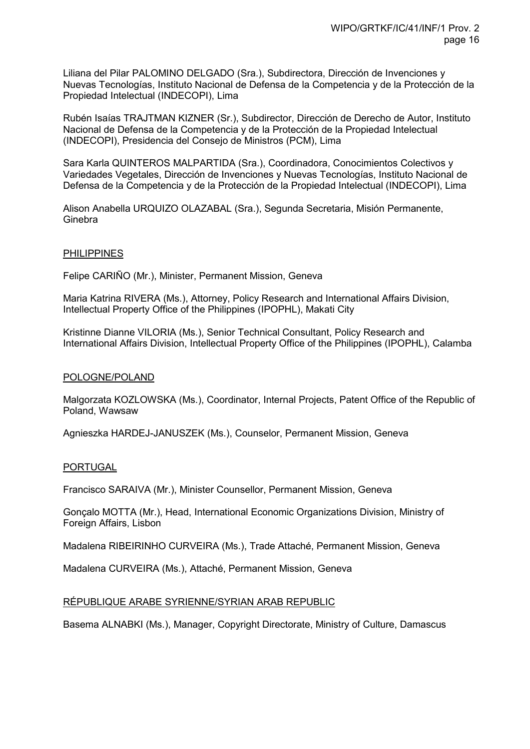Liliana del Pilar PALOMINO DELGADO (Sra.), Subdirectora, Dirección de Invenciones y Nuevas Tecnologías, Instituto Nacional de Defensa de la Competencia y de la Protección de la Propiedad Intelectual (INDECOPI), Lima

Rubén Isaías TRAJTMAN KIZNER (Sr.), Subdirector, Dirección de Derecho de Autor, Instituto Nacional de Defensa de la Competencia y de la Protección de la Propiedad Intelectual (INDECOPI), Presidencia del Consejo de Ministros (PCM), Lima

Sara Karla QUINTEROS MALPARTIDA (Sra.), Coordinadora, Conocimientos Colectivos y Variedades Vegetales, Dirección de Invenciones y Nuevas Tecnologías, Instituto Nacional de Defensa de la Competencia y de la Protección de la Propiedad Intelectual (INDECOPI), Lima

Alison Anabella URQUIZO OLAZABAL (Sra.), Segunda Secretaria, Misión Permanente, **Ginebra** 

#### PHILIPPINES

Felipe CARIÑO (Mr.), Minister, Permanent Mission, Geneva

Maria Katrina RIVERA (Ms.), Attorney, Policy Research and International Affairs Division, Intellectual Property Office of the Philippines (IPOPHL), Makati City

Kristinne Dianne VILORIA (Ms.), Senior Technical Consultant, Policy Research and International Affairs Division, Intellectual Property Office of the Philippines (IPOPHL), Calamba

#### POLOGNE/POLAND

Malgorzata KOZLOWSKA (Ms.), Coordinator, Internal Projects, Patent Office of the Republic of Poland, Wawsaw

Agnieszka HARDEJ-JANUSZEK (Ms.), Counselor, Permanent Mission, Geneva

#### PORTUGAL

Francisco SARAIVA (Mr.), Minister Counsellor, Permanent Mission, Geneva

Gonçalo MOTTA (Mr.), Head, International Economic Organizations Division, Ministry of Foreign Affairs, Lisbon

Madalena RIBEIRINHO CURVEIRA (Ms.), Trade Attaché, Permanent Mission, Geneva

Madalena CURVEIRA (Ms.), Attaché, Permanent Mission, Geneva

## RÉPUBLIQUE ARABE SYRIENNE/SYRIAN ARAB REPUBLIC

Basema ALNABKI (Ms.), Manager, Copyright Directorate, Ministry of Culture, Damascus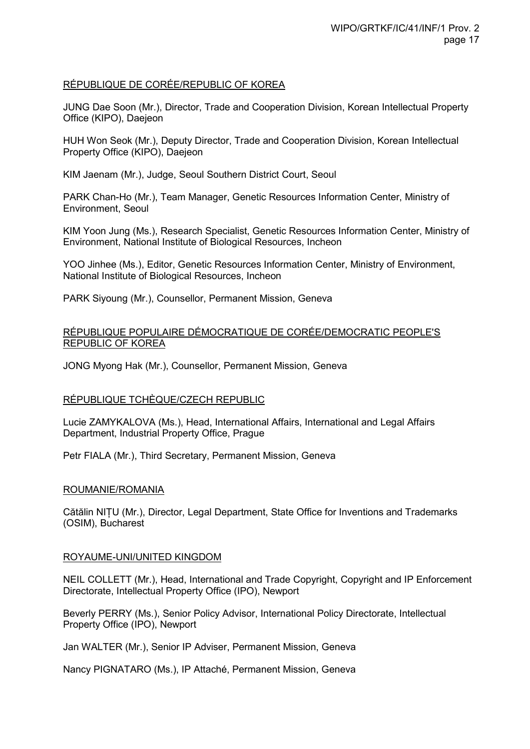#### RÉPUBLIQUE DE CORÉE/REPUBLIC OF KOREA

JUNG Dae Soon (Mr.), Director, Trade and Cooperation Division, Korean Intellectual Property Office (KIPO), Daejeon

HUH Won Seok (Mr.), Deputy Director, Trade and Cooperation Division, Korean Intellectual Property Office (KIPO), Daejeon

KIM Jaenam (Mr.), Judge, Seoul Southern District Court, Seoul

PARK Chan-Ho (Mr.), Team Manager, Genetic Resources Information Center, Ministry of Environment, Seoul

KIM Yoon Jung (Ms.), Research Specialist, Genetic Resources Information Center, Ministry of Environment, National Institute of Biological Resources, Incheon

YOO Jinhee (Ms.), Editor, Genetic Resources Information Center, Ministry of Environment, National Institute of Biological Resources, Incheon

PARK Siyoung (Mr.), Counsellor, Permanent Mission, Geneva

#### RÉPUBLIQUE POPULAIRE DÉMOCRATIQUE DE CORÉE/DEMOCRATIC PEOPLE'S REPUBLIC OF KOREA

JONG Myong Hak (Mr.), Counsellor, Permanent Mission, Geneva

#### RÉPUBLIQUE TCHÈQUE/CZECH REPUBLIC

Lucie ZAMYKALOVA (Ms.), Head, International Affairs, International and Legal Affairs Department, Industrial Property Office, Prague

Petr FIALA (Mr.), Third Secretary, Permanent Mission, Geneva

#### ROUMANIE/ROMANIA

Cătălin NIȚU (Mr.), Director, Legal Department, State Office for Inventions and Trademarks (OSIM), Bucharest

#### ROYAUME-UNI/UNITED KINGDOM

NEIL COLLETT (Mr.), Head, International and Trade Copyright, Copyright and IP Enforcement Directorate, Intellectual Property Office (IPO), Newport

Beverly PERRY (Ms.), Senior Policy Advisor, International Policy Directorate, Intellectual Property Office (IPO), Newport

Jan WALTER (Mr.), Senior IP Adviser, Permanent Mission, Geneva

Nancy PIGNATARO (Ms.), IP Attaché, Permanent Mission, Geneva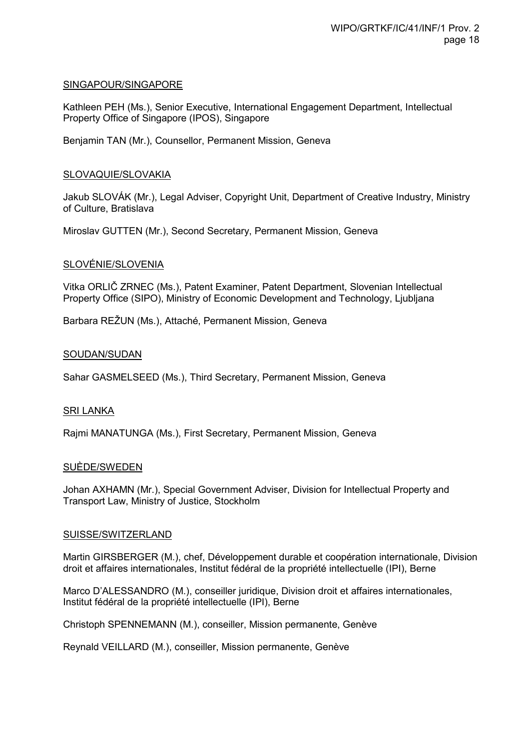#### SINGAPOUR/SINGAPORE

Kathleen PEH (Ms.), Senior Executive, International Engagement Department, Intellectual Property Office of Singapore (IPOS), Singapore

Benjamin TAN (Mr.), Counsellor, Permanent Mission, Geneva

#### SLOVAQUIE/SLOVAKIA

Jakub SLOVÁK (Mr.), Legal Adviser, Copyright Unit, Department of Creative Industry, Ministry of Culture, Bratislava

Miroslav GUTTEN (Mr.), Second Secretary, Permanent Mission, Geneva

#### SLOVÉNIE/SLOVENIA

Vitka ORLIČ ZRNEC (Ms.), Patent Examiner, Patent Department, Slovenian Intellectual Property Office (SIPO), Ministry of Economic Development and Technology, Ljubljana

Barbara REŽUN (Ms.), Attaché, Permanent Mission, Geneva

#### SOUDAN/SUDAN

Sahar GASMELSEED (Ms.), Third Secretary, Permanent Mission, Geneva

#### SRI LANKA

Rajmi MANATUNGA (Ms.), First Secretary, Permanent Mission, Geneva

#### SUÈDE/SWEDEN

Johan AXHAMN (Mr.), Special Government Adviser, Division for Intellectual Property and Transport Law, Ministry of Justice, Stockholm

#### SUISSE/SWITZERLAND

Martin GIRSBERGER (M.), chef, Développement durable et coopération internationale, Division droit et affaires internationales, Institut fédéral de la propriété intellectuelle (IPI), Berne

Marco D'ALESSANDRO (M.), conseiller juridique, Division droit et affaires internationales, Institut fédéral de la propriété intellectuelle (IPI), Berne

Christoph SPENNEMANN (M.), conseiller, Mission permanente, Genève

Reynald VEILLARD (M.), conseiller, Mission permanente, Genève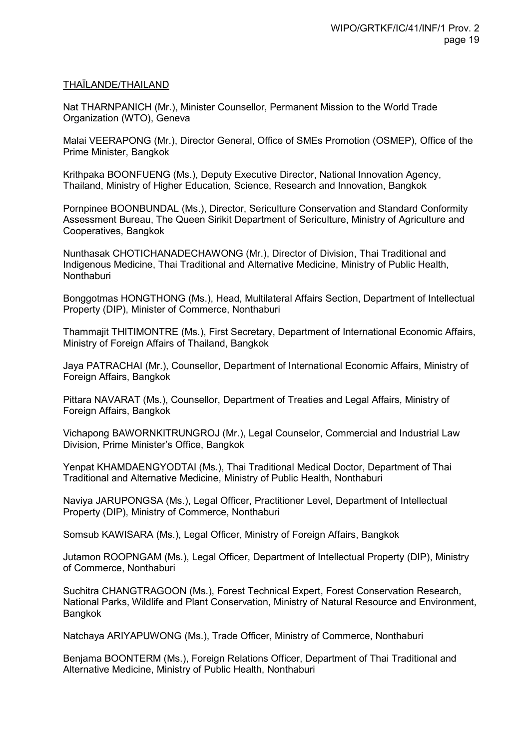#### THAÏLANDE/THAILAND

Nat THARNPANICH (Mr.), Minister Counsellor, Permanent Mission to the World Trade Organization (WTO), Geneva

Malai VEERAPONG (Mr.), Director General, Office of SMEs Promotion (OSMEP), Office of the Prime Minister, Bangkok

Krithpaka BOONFUENG (Ms.), Deputy Executive Director, National Innovation Agency, Thailand, Ministry of Higher Education, Science, Research and Innovation, Bangkok

Pornpinee BOONBUNDAL (Ms.), Director, Sericulture Conservation and Standard Conformity Assessment Bureau, The Queen Sirikit Department of Sericulture, Ministry of Agriculture and Cooperatives, Bangkok

Nunthasak CHOTICHANADECHAWONG (Mr.), Director of Division, Thai Traditional and Indigenous Medicine, Thai Traditional and Alternative Medicine, Ministry of Public Health, **Nonthaburi** 

Bonggotmas HONGTHONG (Ms.), Head, Multilateral Affairs Section, Department of Intellectual Property (DIP), Minister of Commerce, Nonthaburi

Thammajit THITIMONTRE (Ms.), First Secretary, Department of International Economic Affairs, Ministry of Foreign Affairs of Thailand, Bangkok

Jaya PATRACHAI (Mr.), Counsellor, Department of International Economic Affairs, Ministry of Foreign Affairs, Bangkok

Pittara NAVARAT (Ms.), Counsellor, Department of Treaties and Legal Affairs, Ministry of Foreign Affairs, Bangkok

Vichapong BAWORNKITRUNGROJ (Mr.), Legal Counselor, Commercial and Industrial Law Division, Prime Minister's Office, Bangkok

Yenpat KHAMDAENGYODTAI (Ms.), Thai Traditional Medical Doctor, Department of Thai Traditional and Alternative Medicine, Ministry of Public Health, Nonthaburi

Naviya JARUPONGSA (Ms.), Legal Officer, Practitioner Level, Department of Intellectual Property (DIP), Ministry of Commerce, Nonthaburi

Somsub KAWISARA (Ms.), Legal Officer, Ministry of Foreign Affairs, Bangkok

Jutamon ROOPNGAM (Ms.), Legal Officer, Department of Intellectual Property (DIP), Ministry of Commerce, Nonthaburi

Suchitra CHANGTRAGOON (Ms.), Forest Technical Expert, Forest Conservation Research, National Parks, Wildlife and Plant Conservation, Ministry of Natural Resource and Environment, Bangkok

Natchaya ARIYAPUWONG (Ms.), Trade Officer, Ministry of Commerce, Nonthaburi

Benjama BOONTERM (Ms.), Foreign Relations Officer, Department of Thai Traditional and Alternative Medicine, Ministry of Public Health, Nonthaburi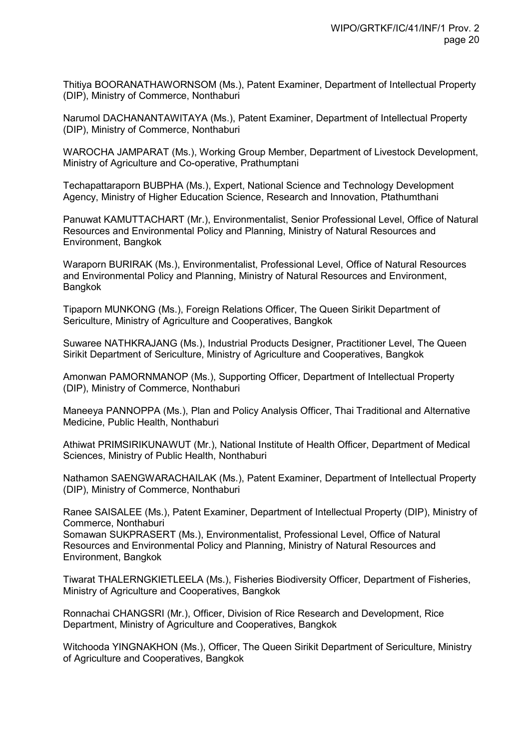Thitiya BOORANATHAWORNSOM (Ms.), Patent Examiner, Department of Intellectual Property (DIP), Ministry of Commerce, Nonthaburi

Narumol DACHANANTAWITAYA (Ms.), Patent Examiner, Department of Intellectual Property (DIP), Ministry of Commerce, Nonthaburi

WAROCHA JAMPARAT (Ms.), Working Group Member, Department of Livestock Development, Ministry of Agriculture and Co-operative, Prathumptani

Techapattaraporn BUBPHA (Ms.), Expert, National Science and Technology Development Agency, Ministry of Higher Education Science, Research and Innovation, Ptathumthani

Panuwat KAMUTTACHART (Mr.), Environmentalist, Senior Professional Level, Office of Natural Resources and Environmental Policy and Planning, Ministry of Natural Resources and Environment, Bangkok

Waraporn BURIRAK (Ms.), Environmentalist, Professional Level, Office of Natural Resources and Environmental Policy and Planning, Ministry of Natural Resources and Environment, Bangkok

Tipaporn MUNKONG (Ms.), Foreign Relations Officer, The Queen Sirikit Department of Sericulture, Ministry of Agriculture and Cooperatives, Bangkok

Suwaree NATHKRAJANG (Ms.), Industrial Products Designer, Practitioner Level, The Queen Sirikit Department of Sericulture, Ministry of Agriculture and Cooperatives, Bangkok

Amonwan PAMORNMANOP (Ms.), Supporting Officer, Department of Intellectual Property (DIP), Ministry of Commerce, Nonthaburi

Maneeya PANNOPPA (Ms.), Plan and Policy Analysis Officer, Thai Traditional and Alternative Medicine, Public Health, Nonthaburi

Athiwat PRIMSIRIKUNAWUT (Mr.), National Institute of Health Officer, Department of Medical Sciences, Ministry of Public Health, Nonthaburi

Nathamon SAENGWARACHAILAK (Ms.), Patent Examiner, Department of Intellectual Property (DIP), Ministry of Commerce, Nonthaburi

Ranee SAISALEE (Ms.), Patent Examiner, Department of Intellectual Property (DIP), Ministry of Commerce, Nonthaburi

Somawan SUKPRASERT (Ms.), Environmentalist, Professional Level, Office of Natural Resources and Environmental Policy and Planning, Ministry of Natural Resources and Environment, Bangkok

Tiwarat THALERNGKIETLEELA (Ms.), Fisheries Biodiversity Officer, Department of Fisheries, Ministry of Agriculture and Cooperatives, Bangkok

Ronnachai CHANGSRI (Mr.), Officer, Division of Rice Research and Development, Rice Department, Ministry of Agriculture and Cooperatives, Bangkok

Witchooda YINGNAKHON (Ms.), Officer, The Queen Sirikit Department of Sericulture, Ministry of Agriculture and Cooperatives, Bangkok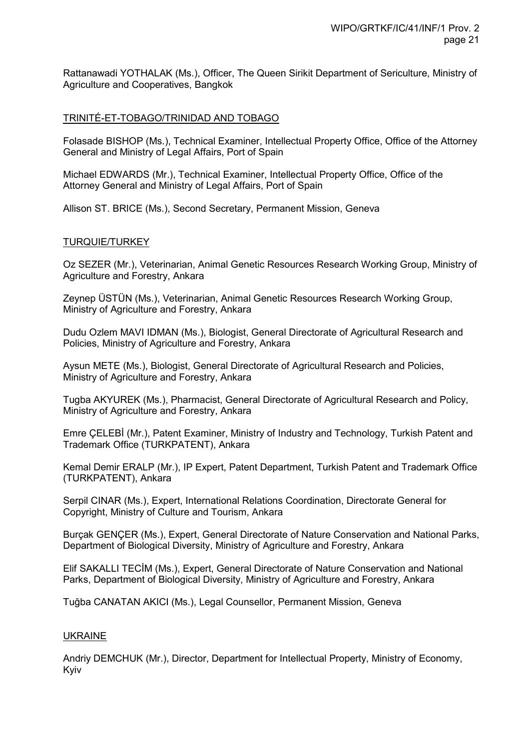Rattanawadi YOTHALAK (Ms.), Officer, The Queen Sirikit Department of Sericulture, Ministry of Agriculture and Cooperatives, Bangkok

#### TRINITÉ-ET-TOBAGO/TRINIDAD AND TOBAGO

Folasade BISHOP (Ms.), Technical Examiner, Intellectual Property Office, Office of the Attorney General and Ministry of Legal Affairs, Port of Spain

Michael EDWARDS (Mr.), Technical Examiner, Intellectual Property Office, Office of the Attorney General and Ministry of Legal Affairs, Port of Spain

Allison ST. BRICE (Ms.), Second Secretary, Permanent Mission, Geneva

#### TURQUIE/TURKEY

Oz SEZER (Mr.), Veterinarian, Animal Genetic Resources Research Working Group, Ministry of Agriculture and Forestry, Ankara

Zeynep ÜSTÜN (Ms.), Veterinarian, Animal Genetic Resources Research Working Group, Ministry of Agriculture and Forestry, Ankara

Dudu Ozlem MAVI IDMAN (Ms.), Biologist, General Directorate of Agricultural Research and Policies, Ministry of Agriculture and Forestry, Ankara

Aysun METE (Ms.), Biologist, General Directorate of Agricultural Research and Policies, Ministry of Agriculture and Forestry, Ankara

Tugba AKYUREK (Ms.), Pharmacist, General Directorate of Agricultural Research and Policy, Ministry of Agriculture and Forestry, Ankara

Emre ÇELEBİ (Mr.), Patent Examiner, Ministry of Industry and Technology, Turkish Patent and Trademark Office (TURKPATENT), Ankara

Kemal Demir ERALP (Mr.), IP Expert, Patent Department, Turkish Patent and Trademark Office (TURKPATENT), Ankara

Serpil CINAR (Ms.), Expert, International Relations Coordination, Directorate General for Copyright, Ministry of Culture and Tourism, Ankara

Burçak GENÇER (Ms.), Expert, General Directorate of Nature Conservation and National Parks, Department of Biological Diversity, Ministry of Agriculture and Forestry, Ankara

Elif SAKALLI TECİM (Ms.), Expert, General Directorate of Nature Conservation and National Parks, Department of Biological Diversity, Ministry of Agriculture and Forestry, Ankara

Tuğba CANATAN AKICI (Ms.), Legal Counsellor, Permanent Mission, Geneva

#### UKRAINE

Andriy DEMCHUK (Mr.), Director, Department for Intellectual Property, Ministry of Economy, Kyiv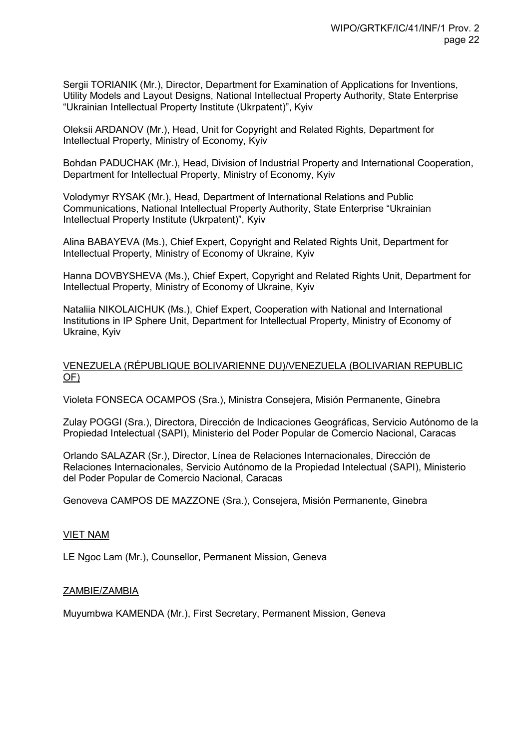Sergii TORIANIK (Mr.), Director, Department for Examination of Applications for Inventions, Utility Models and Layout Designs, National Intellectual Property Authority, State Enterprise "Ukrainian Intellectual Property Institute (Ukrpatent)", Kyiv

Oleksii ARDANOV (Mr.), Head, Unit for Copyright and Related Rights, Department for Intellectual Property, Ministry of Economy, Kyiv

Bohdan PADUCHAK (Mr.), Head, Division of Industrial Property and International Cooperation, Department for Intellectual Property, Ministry of Economy, Kyiv

Volodymyr RYSAK (Mr.), Head, Department of International Relations and Public Communications, National Intellectual Property Authority, State Enterprise "Ukrainian Intellectual Property Institute (Ukrpatent)", Kyiv

Alina BABAYEVA (Ms.), Chief Expert, Copyright and Related Rights Unit, Department for Intellectual Property, Ministry of Economy of Ukraine, Kyiv

Hanna DOVBYSHEVA (Ms.), Chief Expert, Copyright and Related Rights Unit, Department for Intellectual Property, Ministry of Economy of Ukraine, Kyiv

Nataliia NIKOLAICHUK (Ms.), Chief Expert, Cooperation with National and International Institutions in IP Sphere Unit, Department for Intellectual Property, Ministry of Economy of Ukraine, Kyiv

#### VENEZUELA (RÉPUBLIQUE BOLIVARIENNE DU)/VENEZUELA (BOLIVARIAN REPUBLIC OF)

Violeta FONSECA OCAMPOS (Sra.), Ministra Consejera, Misión Permanente, Ginebra

Zulay POGGI (Sra.), Directora, Dirección de Indicaciones Geográficas, Servicio Autónomo de la Propiedad Intelectual (SAPI), Ministerio del Poder Popular de Comercio Nacional, Caracas

Orlando SALAZAR (Sr.), Director, Línea de Relaciones Internacionales, Dirección de Relaciones Internacionales, Servicio Autónomo de la Propiedad Intelectual (SAPI), Ministerio del Poder Popular de Comercio Nacional, Caracas

Genoveva CAMPOS DE MAZZONE (Sra.), Consejera, Misión Permanente, Ginebra

## VIET NAM

LE Ngoc Lam (Mr.), Counsellor, Permanent Mission, Geneva

#### ZAMBIE/ZAMBIA

Muyumbwa KAMENDA (Mr.), First Secretary, Permanent Mission, Geneva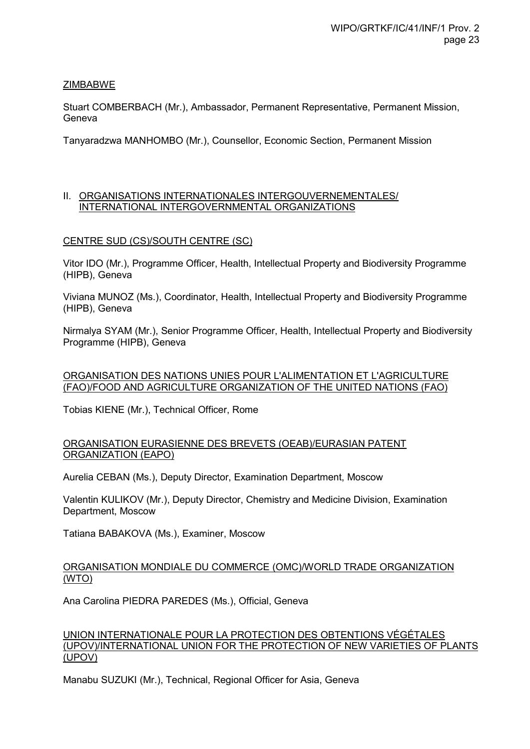## **ZIMBABWE**

Stuart COMBERBACH (Mr.), Ambassador, Permanent Representative, Permanent Mission, Geneva

Tanyaradzwa MANHOMBO (Mr.), Counsellor, Economic Section, Permanent Mission

## II. ORGANISATIONS INTERNATIONALES INTERGOUVERNEMENTALES/ INTERNATIONAL INTERGOVERNMENTAL ORGANIZATIONS

## CENTRE SUD (CS)/SOUTH CENTRE (SC)

Vitor IDO (Mr.), Programme Officer, Health, Intellectual Property and Biodiversity Programme (HIPB), Geneva

Viviana MUNOZ (Ms.), Coordinator, Health, Intellectual Property and Biodiversity Programme (HIPB), Geneva

Nirmalya SYAM (Mr.), Senior Programme Officer, Health, Intellectual Property and Biodiversity Programme (HIPB), Geneva

## ORGANISATION DES NATIONS UNIES POUR L'ALIMENTATION ET L'AGRICULTURE (FAO)/FOOD AND AGRICULTURE ORGANIZATION OF THE UNITED NATIONS (FAO)

Tobias KIENE (Mr.), Technical Officer, Rome

#### ORGANISATION EURASIENNE DES BREVETS (OEAB)/EURASIAN PATENT ORGANIZATION (EAPO)

Aurelia CEBAN (Ms.), Deputy Director, Examination Department, Moscow

Valentin KULIKOV (Mr.), Deputy Director, Chemistry and Medicine Division, Examination Department, Moscow

Tatiana BABAKOVA (Ms.), Examiner, Moscow

## ORGANISATION MONDIALE DU COMMERCE (OMC)/WORLD TRADE ORGANIZATION (WTO)

Ana Carolina PIEDRA PAREDES (Ms.), Official, Geneva

#### UNION INTERNATIONALE POUR LA PROTECTION DES OBTENTIONS VÉGÉTALES (UPOV)/INTERNATIONAL UNION FOR THE PROTECTION OF NEW VARIETIES OF PLANTS (UPOV)

Manabu SUZUKI (Mr.), Technical, Regional Officer for Asia, Geneva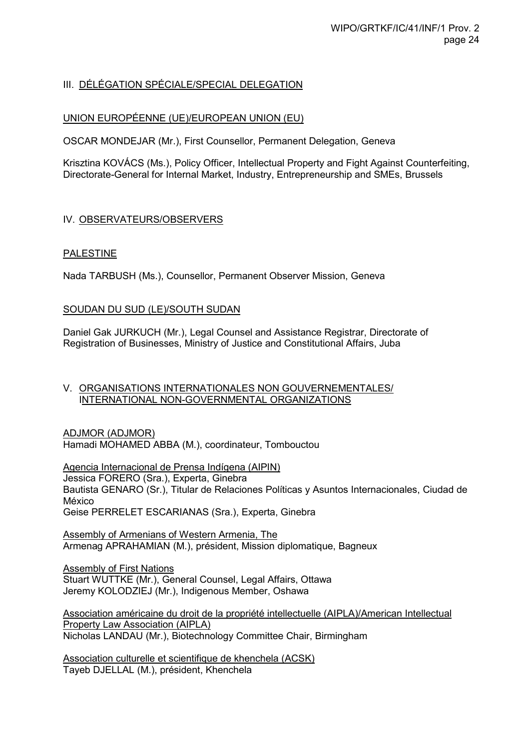## III. DÉLÉGATION SPÉCIALE/SPECIAL DELEGATION

## UNION EUROPÉENNE (UE)/EUROPEAN UNION (EU)

OSCAR MONDEJAR (Mr.), First Counsellor, Permanent Delegation, Geneva

Krisztina KOVÁCS (Ms.), Policy Officer, Intellectual Property and Fight Against Counterfeiting, Directorate-General for Internal Market, Industry, Entrepreneurship and SMEs, Brussels

## IV. OBSERVATEURS/OBSERVERS

## PALESTINE

Nada TARBUSH (Ms.), Counsellor, Permanent Observer Mission, Geneva

## SOUDAN DU SUD (LE)/SOUTH SUDAN

Daniel Gak JURKUCH (Mr.), Legal Counsel and Assistance Registrar, Directorate of Registration of Businesses, Ministry of Justice and Constitutional Affairs, Juba

#### V. ORGANISATIONS INTERNATIONALES NON GOUVERNEMENTALES/ INTERNATIONAL NON-GOVERNMENTAL ORGANIZATIONS

ADJMOR (ADJMOR) Hamadi MOHAMED ABBA (M.), coordinateur, Tombouctou

Agencia Internacional de Prensa Indígena (AIPIN) Jessica FORERO (Sra.), Experta, Ginebra Bautista GENARO (Sr.), Titular de Relaciones Políticas y Asuntos Internacionales, Ciudad de México Geise PERRELET ESCARIANAS (Sra.), Experta, Ginebra

Assembly of Armenians of Western Armenia, The Armenag APRAHAMIAN (M.), président, Mission diplomatique, Bagneux

Assembly of First Nations Stuart WUTTKE (Mr.), General Counsel, Legal Affairs, Ottawa Jeremy KOLODZIEJ (Mr.), Indigenous Member, Oshawa

Association américaine du droit de la propriété intellectuelle (AIPLA)/American Intellectual **Property Law Association (AIPLA)** Nicholas LANDAU (Mr.), Biotechnology Committee Chair, Birmingham

Association culturelle et scientifique de khenchela (ACSK) Tayeb DJELLAL (M.), président, Khenchela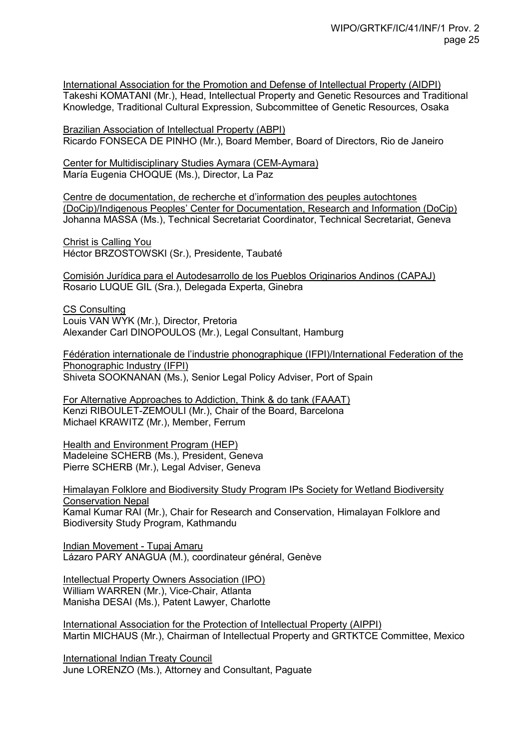International Association for the Promotion and Defense of Intellectual Property (AIDPI) Takeshi KOMATANI (Mr.), Head, Intellectual Property and Genetic Resources and Traditional Knowledge, Traditional Cultural Expression, Subcommittee of Genetic Resources, Osaka

Brazilian Association of Intellectual Property (ABPI) Ricardo FONSECA DE PINHO (Mr.), Board Member, Board of Directors, Rio de Janeiro

Center for Multidisciplinary Studies Aymara (CEM-Aymara) María Eugenia CHOQUE (Ms.), Director, La Paz

Centre de documentation, de recherche et d'information des peuples autochtones (DoCip)/Indigenous Peoples' Center for Documentation, Research and Information (DoCip) Johanna MASSA (Ms.), Technical Secretariat Coordinator, Technical Secretariat, Geneva

Christ is Calling You Héctor BRZOSTOWSKI (Sr.), Presidente, Taubaté

Comisión Jurídica para el Autodesarrollo de los Pueblos Originarios Andinos (CAPAJ) Rosario LUQUE GIL (Sra.), Delegada Experta, Ginebra

CS Consulting Louis VAN WYK (Mr.), Director, Pretoria Alexander Carl DINOPOULOS (Mr.), Legal Consultant, Hamburg

Fédération internationale de l'industrie phonographique (IFPI)/International Federation of the Phonographic Industry (IFPI) Shiveta SOOKNANAN (Ms.), Senior Legal Policy Adviser, Port of Spain

For Alternative Approaches to Addiction, Think & do tank (FAAAT) Kenzi RIBOULET-ZEMOULI (Mr.), Chair of the Board, Barcelona Michael KRAWITZ (Mr.), Member, Ferrum

Health and Environment Program (HEP) Madeleine SCHERB (Ms.), President, Geneva Pierre SCHERB (Mr.), Legal Adviser, Geneva

Himalayan Folklore and Biodiversity Study Program IPs Society for Wetland Biodiversity Conservation Nepal Kamal Kumar RAI (Mr.), Chair for Research and Conservation, Himalayan Folklore and Biodiversity Study Program, Kathmandu

Indian Movement - Tupaj Amaru Lázaro PARY ANAGUA (M.), coordinateur général, Genève

Intellectual Property Owners Association (IPO) William WARREN (Mr.), Vice-Chair, Atlanta Manisha DESAI (Ms.), Patent Lawyer, Charlotte

International Association for the Protection of Intellectual Property (AIPPI) Martin MICHAUS (Mr.), Chairman of Intellectual Property and GRTKTCE Committee, Mexico

International Indian Treaty Council June LORENZO (Ms.), Attorney and Consultant, Paguate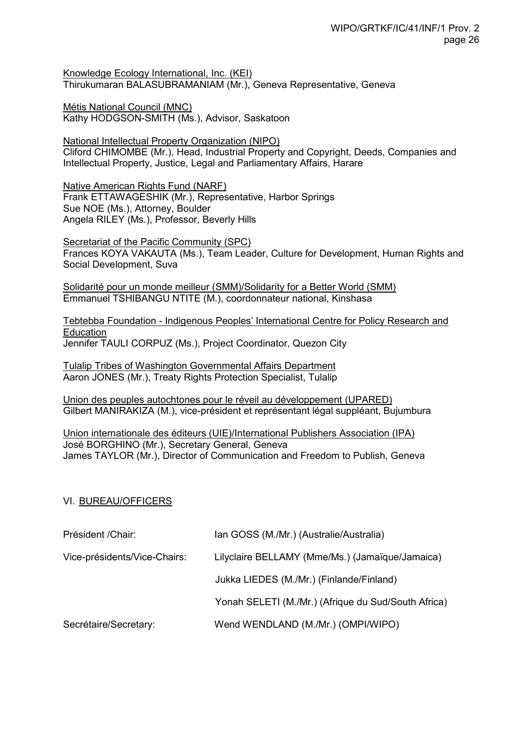Knowledge Ecology International, Inc. (KEI) Thirukumaran BALASUBRAMANIAM (Mr.), Geneva Representative, Geneva

Métis National Council (MNC) Kathy HODGSON-SMITH (Ms.), Advisor, Saskatoon

National Intellectual Property Organization (NIPO) Cliford CHIMOMBE (Mr.), Head, Industrial Property and Copyright, Deeds, Companies and Intellectual Property, Justice, Legal and Parliamentary Affairs, Harare

Native American Rights Fund (NARF) Frank ETTAWAGESHIK (Mr.), Representative, Harbor Springs Sue NOE (Ms.), Attorney, Boulder Angela RILEY (Ms.), Professor, Beverly Hills

Secretariat of the Pacific Community (SPC) Frances KOYA VAKAUTA (Ms.), Team Leader, Culture for Development, Human Rights and Social Development, Suva

Solidarité pour un monde meilleur (SMM)/Solidarity for a Better World (SMM) Emmanuel TSHIBANGU NTITE (M.), coordonnateur national, Kinshasa

Tebtebba Foundation - Indigenous Peoples' International Centre for Policy Research and Education Jennifer TAULI CORPUZ (Ms.), Project Coordinator, Quezon City

Tulalip Tribes of Washington Governmental Affairs Department Aaron JONES (Mr.), Treaty Rights Protection Specialist, Tulalip

Union des peuples autochtones pour le réveil au développement (UPARED) Gilbert MANIRAKIZA (M.), vice-président et représentant légal suppléant, Bujumbura

Union internationale des éditeurs (UIE)/International Publishers Association (IPA) José BORGHINO (Mr.), Secretary General, Geneva James TAYLOR (Mr.), Director of Communication and Freedom to Publish, Geneva

## VI. BUREAU/OFFICERS

| Président / Chair:           | Ian GOSS (M./Mr.) (Australie/Australia)             |
|------------------------------|-----------------------------------------------------|
| Vice-présidents/Vice-Chairs: | Lilyclaire BELLAMY (Mme/Ms.) (Jamaïque/Jamaica)     |
|                              | Jukka LIEDES (M./Mr.) (Finlande/Finland)            |
|                              | Yonah SELETI (M./Mr.) (Afrique du Sud/South Africa) |
| Secrétaire/Secretary:        | Wend WENDLAND (M./Mr.) (OMPI/WIPO)                  |